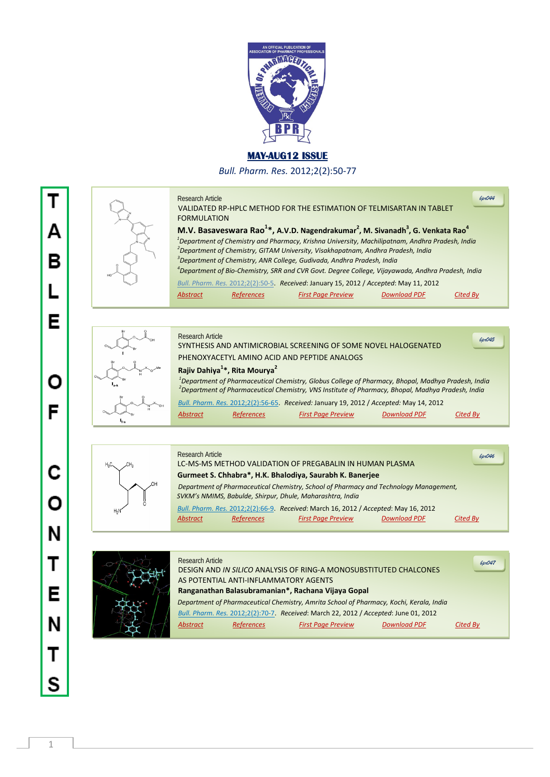

## **MAY-AUG12 ISSUE**

*Bull. Pharm. Res.* 2012;2(2):50-77

## Research Article



|                    |                                                                                    | VALIDATED RP-HPLC METHOD FOR THE ESTIMATION OF TELMISARTAN IN TABLET                                                                                                                                        |                     |          |  |
|--------------------|------------------------------------------------------------------------------------|-------------------------------------------------------------------------------------------------------------------------------------------------------------------------------------------------------------|---------------------|----------|--|
| <b>FORMULATION</b> |                                                                                    |                                                                                                                                                                                                             |                     |          |  |
|                    |                                                                                    | M.V. Basaveswara Rao <sup>1*</sup> , A.V.D. Nagendrakumar <sup>2</sup> , M. Sivanadh <sup>3</sup> , G. Venkata Rao <sup>4</sup>                                                                             |                     |          |  |
|                    |                                                                                    | <sup>1</sup> Department of Chemistry and Pharmacy, Krishna University, Machilipatnam, Andhra Pradesh, India<br><sup>2</sup> Department of Chemistry, GITAM University, Visakhapatnam, Andhra Pradesh, India |                     |          |  |
|                    | <sup>3</sup> Department of Chemistry, ANR College, Gudivada, Andhra Pradesh, India |                                                                                                                                                                                                             |                     |          |  |
|                    |                                                                                    | <sup>4</sup> Department of Bio-Chemistry, SRR and CVR Govt. Degree College, Vijayawada, Andhra Pradesh, India                                                                                               |                     |          |  |
|                    |                                                                                    | Bull. Pharm. Res. 2012;2(2):50-5. Received: January 15, 2012 / Accepted: May 11, 2012                                                                                                                       |                     |          |  |
| <b>Abstract</b>    | <b>References</b>                                                                  | <b>First Page Preview</b>                                                                                                                                                                                   | <b>Download PDF</b> | Cited Bv |  |
|                    |                                                                                    |                                                                                                                                                                                                             |                     |          |  |

*bpr044*



| <b>Research Article</b><br>SYNTHESIS AND ANTIMICROBIAL SCREENING OF SOME NOVEL HALOGENATED                                                                                                                                      | 6pr045 |
|---------------------------------------------------------------------------------------------------------------------------------------------------------------------------------------------------------------------------------|--------|
| PHENOXYACETYL AMINO ACID AND PEPTIDE ANALOGS                                                                                                                                                                                    |        |
| Rajiv Dahiya <sup>1</sup> *, Rita Mourya <sup>2</sup>                                                                                                                                                                           |        |
| <sup>1</sup> Department of Pharmaceutical Chemistry, Globus College of Pharmacy, Bhopal, Madhya Pradesh, India<br><sup>2</sup> Department of Pharmaceutical Chemistry, VNS Institute of Pharmacy, Bhopal, Madhya Pradesh, India |        |
| Bull. Pharm. Res. 2012;2(2):56-65. Received: January 19, 2012 / Accepted: May 14, 2012                                                                                                                                          |        |
| <b>Download PDF</b><br><b>References</b><br><b>First Page Preview</b><br><b>Abstract</b><br>Cited By                                                                                                                            |        |



| <b>Research Article</b><br>6p046<br>LC-MS-MS METHOD VALIDATION OF PREGABALIN IN HUMAN PLASMA                                                       |
|----------------------------------------------------------------------------------------------------------------------------------------------------|
| Gurmeet S. Chhabra*, H.K. Bhalodiya, Saurabh K. Banerjee                                                                                           |
| Department of Pharmaceutical Chemistry, School of Pharmacy and Technology Management,<br>SVKM's NMIMS, Babulde, Shirpur, Dhule, Maharashtra, India |
| Bull. Pharm. Res. 2012;2(2):66-9. Received: March 16, 2012 / Accepted: May 16, 2012                                                                |
| <b>Download PDF</b><br><b>References</b><br><b>First Page Preview</b><br>Abstract<br>Cited By                                                      |



| <b>Research Article</b> |                                       |                                                                                         |                     | 6pr047   |
|-------------------------|---------------------------------------|-----------------------------------------------------------------------------------------|---------------------|----------|
|                         |                                       | DESIGN AND IN SILICO ANALYSIS OF RING-A MONOSUBSTITUTED CHALCONES                       |                     |          |
|                         | AS POTENTIAL ANTI-INFLAMMATORY AGENTS |                                                                                         |                     |          |
|                         |                                       | Ranganathan Balasubramanian*, Rachana Vijaya Gopal                                      |                     |          |
|                         |                                       | Department of Pharmaceutical Chemistry, Amrita School of Pharmacy, Kochi, Kerala, India |                     |          |
|                         |                                       | Bull. Pharm. Res. 2012;2(2):70-7 Received: March 22, 2012 / Accepted: June 01, 2012     |                     |          |
| <b>Abstract</b>         | References                            | <b>First Page Preview</b>                                                               | <b>Download PDF</b> | Cited By |
|                         |                                       |                                                                                         |                     |          |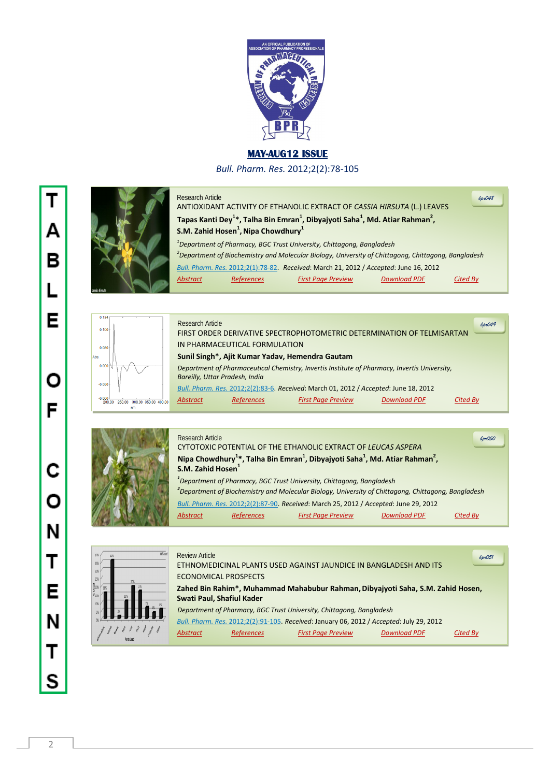

## **MAY-AUG12 ISSUE**

*Bull. Pharm. Res.* 2012;2(2):78-105



| <b>Research Article</b> |                                                             | ANTIOXIDANT ACTIVITY OF ETHANOLIC EXTRACT OF CASSIA HIRSUTA (L.) LEAVES                                                                                                                              |                     | 6pr048   |
|-------------------------|-------------------------------------------------------------|------------------------------------------------------------------------------------------------------------------------------------------------------------------------------------------------------|---------------------|----------|
|                         | S.M. Zahid Hosen <sup>1</sup> , Nipa Chowdhury <sup>1</sup> | Tapas Kanti Dey <sup>1*</sup> , Talha Bin Emran <sup>1</sup> , Dibyajyoti Saha <sup>1</sup> , Md. Atiar Rahman <sup>2</sup> ,                                                                        |                     |          |
|                         |                                                             | <sup>1</sup> Department of Pharmacy, BGC Trust University, Chittagong, Bangladesh<br><sup>2</sup> Department of Biochemistry and Molecular Biology, University of Chittagong, Chittagong, Bangladesh |                     |          |
|                         |                                                             | Bull. Pharm. Res. 2012;2(1):78-82. Received: March 21, 2012 / Accepted: June 16, 2012                                                                                                                |                     |          |
| <b>Abstract</b>         | <b>References</b>                                           | <b>First Page Preview</b>                                                                                                                                                                            | <b>Download PDF</b> | Cited Bv |



|                  | <b>Research Article</b>        |                               |                                                                                              |                     | 6p049           |  |
|------------------|--------------------------------|-------------------------------|----------------------------------------------------------------------------------------------|---------------------|-----------------|--|
|                  |                                |                               | FIRST ORDER DERIVATIVE SPECTROPHOTOMETRIC DETERMINATION OF TELMISARTAN                       |                     |                 |  |
|                  |                                | IN PHARMACEUTICAL FORMULATION |                                                                                              |                     |                 |  |
|                  |                                |                               | Sunil Singh*, Ajit Kumar Yadav, Hemendra Gautam                                              |                     |                 |  |
|                  | Bareilly, Uttar Pradesh, India |                               | Department of Pharmaceutical Chemistry, Invertis Institute of Pharmacy, Invertis University, |                     |                 |  |
|                  |                                |                               | Bull. Pharm. Res. 2012;2(2):83-6. Received: March 01, 2012 / Accepted: June 18, 2012         |                     |                 |  |
| 00 350 00 400 00 | <b>Abstract</b>                | <b>References</b>             | <b>First Page Preview</b>                                                                    | <b>Download PDF</b> | <b>Cited By</b> |  |
|                  |                                |                               |                                                                                              |                     |                 |  |



| <b>Research Article</b>       |                   |                                                                                                                              |                     | 64050           |
|-------------------------------|-------------------|------------------------------------------------------------------------------------------------------------------------------|---------------------|-----------------|
|                               |                   | CYTOTOXIC POTENTIAL OF THE ETHANOLIC EXTRACT OF LEUCAS ASPERA                                                                |                     |                 |
|                               |                   | Nipa Chowdhury <sup>1</sup> *, Talha Bin Emran <sup>1</sup> , Dibyajyoti Saha <sup>1</sup> , Md. Atiar Rahman <sup>2</sup> , |                     |                 |
| S.M. Zahid Hosen <sup>1</sup> |                   |                                                                                                                              |                     |                 |
|                               |                   | <sup>1</sup> Department of Pharmacy, BGC Trust University, Chittagong, Bangladesh                                            |                     |                 |
|                               |                   | <sup>2</sup> Department of Biochemistry and Molecular Biology, University of Chittagong, Chittagong, Bangladesh              |                     |                 |
|                               |                   | Bull. Pharm. Res. 2012;2(2):87-90. Received: March 25, 2012 / Accepted: June 29, 2012                                        |                     |                 |
| Abstract                      | <b>References</b> | <b>First Page Preview</b>                                                                                                    | <b>Download PDF</b> | <b>Cited By</b> |



| Wased | <b>Review Article</b> |                             |                                                                                          |                     | 6pr051   |
|-------|-----------------------|-----------------------------|------------------------------------------------------------------------------------------|---------------------|----------|
|       |                       |                             | ETHNOMEDICINAL PLANTS USED AGAINST JAUNDICE IN BANGLADESH AND ITS                        |                     |          |
|       |                       | <b>ECONOMICAL PROSPECTS</b> |                                                                                          |                     |          |
|       |                       |                             | Zahed Bin Rahim*, Muhammad Mahabubur Rahman, Dibyajyoti Saha, S.M. Zahid Hosen,          |                     |          |
| $6\%$ |                       | Swati Paul, Shafiul Kader   |                                                                                          |                     |          |
|       |                       |                             | Department of Pharmacy, BGC Trust University, Chittagong, Bangladesh                     |                     |          |
|       |                       |                             | Bull. Pharm. Res. 2012;2(2):91-105. Received: January 06, 2012 / Accepted: July 29, 2012 |                     |          |
|       | <b>Abstract</b>       | <b>References</b>           | <b>First Page Preview</b>                                                                | <b>Download PDF</b> | Cited By |
|       |                       |                             |                                                                                          |                     |          |

T